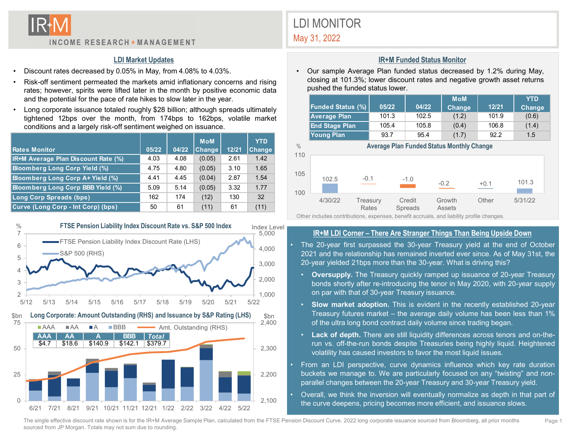

#### LDI Market Updates

- 
- 
- 

| <b>INCOME RESEARCH + MANAGEMENT</b>                                                                                                                                                                                                                                                                                                                                                                                                                                                                                                                                             |                              |                              |                                      |                              |                               |             | <b>LDI MONITOR</b><br>May 31, 2022                                                                                                                                                                                                |                         |                                                              |                                                                 |                                                |
|---------------------------------------------------------------------------------------------------------------------------------------------------------------------------------------------------------------------------------------------------------------------------------------------------------------------------------------------------------------------------------------------------------------------------------------------------------------------------------------------------------------------------------------------------------------------------------|------------------------------|------------------------------|--------------------------------------|------------------------------|-------------------------------|-------------|-----------------------------------------------------------------------------------------------------------------------------------------------------------------------------------------------------------------------------------|-------------------------|--------------------------------------------------------------|-----------------------------------------------------------------|------------------------------------------------|
| <b>LDI Market Updates</b><br>Discount rates decreased by 0.05% in May, from 4.08% to 4.03%.<br>Risk-off sentiment permeated the markets amid inflationary concerns and rising<br>rates; however, spirits were lifted later in the month by positive economic data<br>and the potential for the pace of rate hikes to slow later in the year.<br>Long corporate issuance totaled roughly \$28 billion; although spreads ultimately<br>tightened 12bps over the month, from 174bps to 162bps, volatile market<br>conditions and a largely risk-off sentiment weighed on issuance. |                              |                              |                                      |                              |                               | $\bullet$   | Our sample Average Plan funded status decreased by 1.<br>closing at 101.3%; lower discount rates and negative grov<br>pushed the funded status lower.<br><b>Funded Status (%)</b><br><b>Average Plan</b><br><b>End Stage Plan</b> | 05/22<br>101.3<br>105.4 | <b>IR+M Funded Status Monitor</b><br>04/22<br>102.5<br>105.8 | <b>MoM</b><br>Change<br>(1.2)<br>(0.4)                          | $\mathbf{1}$<br>$\mathbf{1}$<br>$\overline{1}$ |
| <b>Rates Monitor</b>                                                                                                                                                                                                                                                                                                                                                                                                                                                                                                                                                            | 05/22                        | 04/22                        | <b>MoM</b><br>Change                 | 12/21                        | <b>YTD</b><br><b>Change</b>   | $\%$<br>110 | <b>Young Plan</b>                                                                                                                                                                                                                 | 93.7                    | 95.4                                                         | (1.7)<br><b>Average Plan Funded Status Monthly Change</b>       | Ċ                                              |
| IR+M Average Plan Discount Rate (%)<br><b>Bloomberg Long Corp Yield (%)</b><br>Bloomberg Long Corp A+ Yield (%)<br>Bloomberg Long Corp BBB Yield (%)                                                                                                                                                                                                                                                                                                                                                                                                                            | 4.03<br>4.75<br>4.41<br>5.09 | 4.08<br>4.80<br>4.45<br>5.14 | (0.05)<br>(0.05)<br>(0.04)<br>(0.05) | 2.61<br>3.10<br>2.87<br>3.32 | 1.42<br>1.65<br>1.54<br>1.77  | 105         | 102.5                                                                                                                                                                                                                             | $-0.1$                  | $-1.0$                                                       | $-0.2$                                                          | $+0.1$                                         |
| Long Corp Spreads (bps)<br>Curve (Long Corp - Int Corp) (bps)                                                                                                                                                                                                                                                                                                                                                                                                                                                                                                                   | 162<br>50                    | 174<br>61                    | (12)<br>(11)                         | 130<br>61                    | 32<br>(11)                    | 100         | 4/30/22<br>Other includes contributions, expenses, benefit accruals, and liability profile char                                                                                                                                   | Treasury<br>Rates       | Credit<br>Spreads                                            | Growth<br><b>Assets</b>                                         | Othe                                           |
| FTSE Pension Liability Index Discount Rate vs. S&P 500 Index<br>$\frac{0}{0}$<br>7<br>• FTSE Pension Liability Index Discount Rate (LHS)<br>6<br>CCDEAA/DIIO                                                                                                                                                                                                                                                                                                                                                                                                                    |                              |                              |                                      |                              | Index Level<br>5,000<br>4,000 |             | The 20-year first surpassed the 30-year Treasury yield at<br>0001 and the relationship has repeated intertact attended                                                                                                            |                         |                                                              | <b>IR+M LDI Corner - There Are Stranger Things Than Being I</b> |                                                |



# LDI MONITOR

#### IR+M Funded Status Monitor

|                                                                |                                                                                                                                                             |       |       | <b>LDI MONITOR</b> |                                   |                                                                       |      |                                 |  |       |       |                                                                           |       |               |
|----------------------------------------------------------------|-------------------------------------------------------------------------------------------------------------------------------------------------------------|-------|-------|--------------------|-----------------------------------|-----------------------------------------------------------------------|------|---------------------------------|--|-------|-------|---------------------------------------------------------------------------|-------|---------------|
|                                                                | INCOME RESEARCH + MANAGEMENT                                                                                                                                |       |       | May 31, 2022       |                                   |                                                                       |      |                                 |  |       |       |                                                                           |       |               |
| <b>LDI Market Updates</b>                                      |                                                                                                                                                             |       |       |                    | <b>IR+M Funded Status Monitor</b> |                                                                       |      |                                 |  |       |       |                                                                           |       |               |
| Discount rates decreased by 0.05% in May, from 4.08% to 4.03%. |                                                                                                                                                             |       |       |                    |                                   | • Our sample Average Plan funded status decreased by 1.2% during May, |      |                                 |  |       |       |                                                                           |       |               |
|                                                                | Risk-off sentiment permeated the markets amid inflationary concerns and rising                                                                              |       |       |                    |                                   |                                                                       |      | pushed the funded status lower. |  |       |       | closing at 101.3%; lower discount rates and negative growth asset returns |       |               |
|                                                                | rates; however, spirits were lifted later in the month by positive economic data<br>and the potential for the pace of rate hikes to slow later in the year. |       |       |                    |                                   |                                                                       |      |                                 |  |       |       | <b>MoM</b>                                                                |       | <b>YTD</b>    |
|                                                                | Long corporate issuance totaled roughly \$28 billion; although spreads ultimately                                                                           |       |       |                    |                                   |                                                                       |      | <b>Funded Status (%)</b>        |  | 05/22 | 04/22 | Change                                                                    | 12/21 | <b>Change</b> |
|                                                                | tightened 12bps over the month, from 174bps to 162bps, volatile market                                                                                      |       |       |                    |                                   |                                                                       |      | <b>Average Plan</b>             |  | 101.3 | 102.5 | (1.2)                                                                     | 101.9 | (0.6)         |
|                                                                | conditions and a largely risk-off sentiment weighed on issuance.                                                                                            |       |       |                    |                                   |                                                                       |      | <b>End Stage Plan</b>           |  | 105.4 | 105.8 | (0.4)                                                                     | 106.8 | (1.4)         |
|                                                                |                                                                                                                                                             |       |       | <b>MoM</b>         |                                   | <b>YTD</b>                                                            |      | <b>Young Plan</b>               |  | 93.7  | 95.4  | (1.7)                                                                     | 92.2  | 1.5           |
|                                                                | Rates Monitor                                                                                                                                               | 05/22 | 04/22 | <b>Change</b>      | 12/21                             | Change                                                                | $\%$ |                                 |  |       |       | <b>Average Plan Funded Status Monthly Change</b>                          |       |               |
|                                                                | IR+M Average Plan Discount Rate (%)                                                                                                                         | 4.03  | 4.08  | (0.05)             | 2.61                              | 1.42                                                                  | 110  |                                 |  |       |       |                                                                           |       |               |
|                                                                |                                                                                                                                                             |       |       |                    |                                   |                                                                       |      |                                 |  |       |       |                                                                           |       |               |
|                                                                | <b>Bloomberg Long Corp Yield (%)</b>                                                                                                                        | 4.75  | 4.80  | (0.05)             | 3.10                              | 1.65                                                                  | 105  |                                 |  |       |       |                                                                           |       |               |



Other includes contributions, expenses, benefit accruals, and liability profile changes.

#### IR+M LDI Corner - There Are Stranger Things Than Being Upside Down

- 3,000 20-year yielded 21bps more than the 30-year. What is driving this? <sup>4,000</sup> • The 20-year first surpassed the 30-year Treasury yield at the end of October<br>2021 and the relationship has remained inverted ever since. As of May 31st, the
- 1,000 on par with that of 30-year Treasury issuance. **Oversupply.** The Treasury quickly ramped up issuance of 20-year Treasury 2,000<br>bonds shortly after re-introducing the tenor in May 2020, with 20-year supply
- 2,400 of the ultra long bond contract daily volume since trading began.
- run vs. off-the-run bonds despite Treasuries being highly liquid. Heightened<br>volatility has caused investors to favor the most liquid issues. 190722 Treasury Credit Growth Other 5/31/22<br>
ther includes contributions, expenses, benefit accruals and liability profile changes.<br>
IR+M LDI Corner – There Are Stranger Things Than Being Upside Down<br>
The 20-year first sur IREN LDI Corner – There Are Stranger Things Than Being Upside Down<br>The 20-year first surpossed the 30-year Treasury yield at the end of October<br>2021 and the relationship has remained inverted ever since. As of May 31st, th
- 2,200 buckets we manage to. We are particularly focused on any "twisting" and non-• Other includes contributions, expenses, benefit coccurs as dillability profile changes.<br>
• IR+M LDI Corner – There Are Stranger Things Than Being Upside Down<br>
• The 20-year first surpassed the 30-year Treasury yield at
- Overall, we think the inversion will eventually normalize as depth in that part of 2,100 the curve deepens, pricing becomes more efficient, and issuance slows.

The single effective discount rate shown is for the IR+M Average Sample Plan, calculated from the FTSE Pension Discount Curve. 2022 long corporate issuance sourced from Bloomberg, all prior months sourced from JP Morgan. Totals may not sum due to rounding.